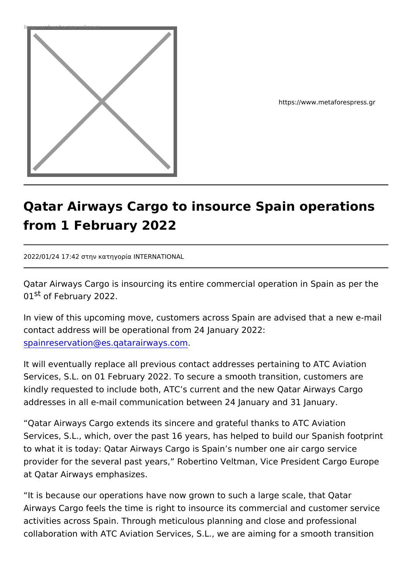

https://www.metaforespress.g

## Qatar Airways Cargo to insource Spain oper from 1 February 2022

2022/01/24 17:42 ÃÄ·½ º±Ä·³¿Á¯± INTERNATIONAL

Qatar Airways Cargo is insourcing its entire commercial operation 0<sup>1st</sup> of February 2022.

In view of this upcoming move, customers across Spain are advis contact address will be operational from 24 January 2022: [spainreservation@es.qatara](mailto:spainreservation@es.qatarairways.com)irways.com .

It will eventually replace all previous contact addresses pertaining Services, S.L. on 01 February 2022. To secure a smooth transition, kindly requested to include both, ATC s current and the new Qata addresses in all e-mail communication between 24 January and 31

Qatar Airways Cargo extends its sincere and grateful thanks to *F* Services, S.L., which, over the past 16 years, has helped to build to what it is today: Qatar Airways Cargo is Spain s number one a provider for the several past years, Robertino Veltman, Vice Pre at Qatar Airways emphasizes.

It is because our operations have now grown to such a large sca Airways Cargo feels the time is right to insource its commercial and activities across Spain. Through meticulous planning and close a collaboration with ATC Aviation Services, S.L., we are aiming for